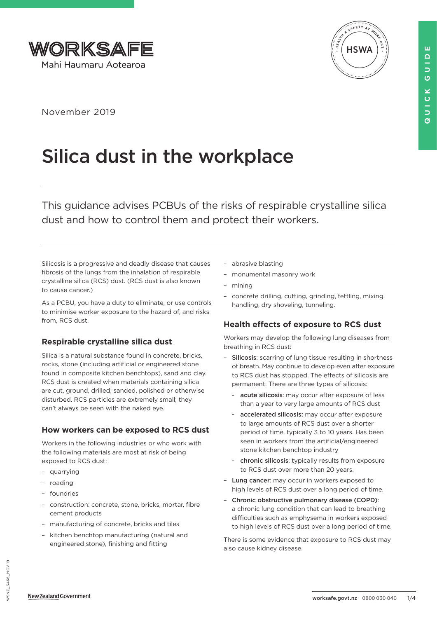



November 2019

# Silica dust in the workplace

This guidance advises PCBUs of the risks of respirable crystalline silica dust and how to control them and protect their workers.

Silicosis is a progressive and deadly disease that causes fibrosis of the lungs from the inhalation of respirable crystalline silica (RCS) dust. (RCS dust is also known to cause cancer.)

As a PCBU, you have a duty to eliminate, or use controls to minimise worker exposure to the hazard of, and risks from, RCS dust.

# **Respirable crystalline silica dust**

Silica is a natural substance found in concrete, bricks, rocks, stone (including artificial or engineered stone found in composite kitchen benchtops), sand and clay. RCS dust is created when materials containing silica are cut, ground, drilled, sanded, polished or otherwise disturbed. RCS particles are extremely small; they can't always be seen with the naked eye.

# **How workers can be exposed to RCS dust**

Workers in the following industries or who work with the following materials are most at risk of being exposed to RCS dust:

- quarrying
- roading
- foundries
- construction: concrete, stone, bricks, mortar, fibre cement products
- manufacturing of concrete, bricks and tiles
- kitchen benchtop manufacturing (natural and engineered stone), finishing and fitting
- abrasive blasting
- monumental masonry work
- mining
- concrete drilling, cutting, grinding, fettling, mixing, handling, dry shoveling, tunneling.

# **Health effects of exposure to RCS dust**

Workers may develop the following lung diseases from breathing in RCS dust:

- Silicosis: scarring of lung tissue resulting in shortness of breath. May continue to develop even after exposure to RCS dust has stopped. The effects of silicosis are permanent. There are three types of silicosis:
	- acute silicosis: may occur after exposure of less than a year to very large amounts of RCS dust
	- accelerated silicosis: may occur after exposure to large amounts of RCS dust over a shorter period of time, typically 3 to 10 years. Has been seen in workers from the artificial/engineered stone kitchen benchtop industry
	- chronic silicosis: typically results from exposure to RCS dust over more than 20 years.
- Lung cancer: may occur in workers exposed to high levels of RCS dust over a long period of time.
- Chronic obstructive pulmonary disease (COPD): a chronic lung condition that can lead to breathing difficulties such as emphysema in workers exposed to high levels of RCS dust over a long period of time.

There is some evidence that exposure to RCS dust may also cause kidney disease.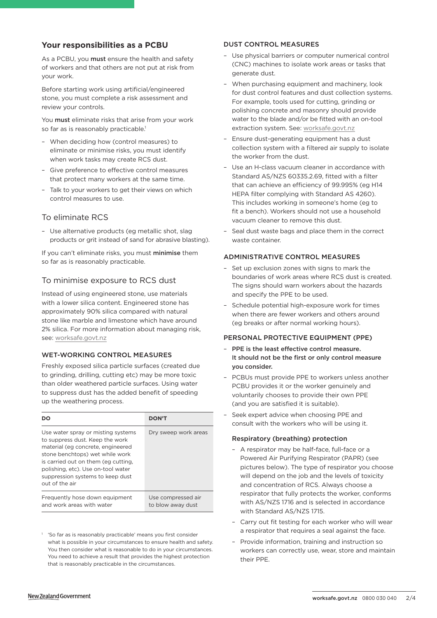## **Your responsibilities as a PCBU**

As a PCBU, you must ensure the health and safety of workers and that others are not put at risk from your work.

Before starting work using artificial/engineered stone, you must complete a risk assessment and review your controls.

You must eliminate risks that arise from your work so far as is reasonably practicable.<sup>1</sup>

- When deciding how (control measures) to eliminate or minimise risks, you must identify when work tasks may create RCS dust.
- Give preference to effective control measures that protect many workers at the same time.
- Talk to your workers to get their views on which control measures to use.

## To eliminate RCS

– Use alternative products (eg metallic shot, slag products or grit instead of sand for abrasive blasting).

If you can't eliminate risks, you must minimise them so far as is reasonably practicable.

## To minimise exposure to RCS dust

Instead of using engineered stone, use materials with a lower silica content. Engineered stone has approximately 90% silica compared with natural stone like marble and limestone which have around 2% silica. For more information about managing risk, see: [worksafe.govt.nz](https://worksafe.govt.nz/managing-health-and-safety/managing-risks/how-to-manage-work-risks/)

#### WET-WORKING CONTROL MEASURES

Freshly exposed silica particle surfaces (created due to grinding, drilling, cutting etc) may be more toxic than older weathered particle surfaces. Using water to suppress dust has the added benefit of speeding up the weathering process.

| DO                                                                                                                                                                                                                                                                               | <b>DON'T</b>                            |
|----------------------------------------------------------------------------------------------------------------------------------------------------------------------------------------------------------------------------------------------------------------------------------|-----------------------------------------|
| Use water spray or misting systems<br>to suppress dust. Keep the work<br>material (eg concrete, engineered<br>stone benchtops) wet while work<br>is carried out on them (eg cutting,<br>polishing, etc). Use on-tool water<br>suppression systems to keep dust<br>out of the air | Dry sweep work areas                    |
| Frequently hose down equipment<br>and work areas with water                                                                                                                                                                                                                      | Use compressed air<br>to blow away dust |

<sup>1</sup> 'So far as is reasonably practicable' means you first consider what is possible in your circumstances to ensure health and safety. You then consider what is reasonable to do in your circumstances. You need to achieve a result that provides the highest protection that is reasonably practicable in the circumstances.

#### DUST CONTROL MEASURES

- Use physical barriers or computer numerical control (CNC) machines to isolate work areas or tasks that generate dust.
- When purchasing equipment and machinery, look for dust control features and dust collection systems. For example, tools used for cutting, grinding or polishing concrete and masonry should provide water to the blade and/or be fitted with an on-tool extraction system. See: [worksafe.govt.nz](https://worksafe.govt.nz/topic-and-industry/dust-and-fumes/dust/controlling-construction-dust-with-on-tool-extraction/)
- Ensure dust-generating equipment has a dust collection system with a filtered air supply to isolate the worker from the dust.
- Use an H-class vacuum cleaner in accordance with Standard AS/NZS 60335.2.69, fitted with a filter that can achieve an efficiency of 99.995% (eg H14 HEPA filter complying with Standard AS 4260). This includes working in someone's home (eg to fit a bench). Workers should not use a household vacuum cleaner to remove this dust.
- Seal dust waste bags and place them in the correct waste container.

#### ADMINISTRATIVE CONTROL MEASURES

- Set up exclusion zones with signs to mark the boundaries of work areas where RCS dust is created. The signs should warn workers about the hazards and specify the PPE to be used.
- Schedule potential high-exposure work for times when there are fewer workers and others around (eg breaks or after normal working hours).

#### PERSONAL PROTECTIVE EQUIPMENT (PPE)

- PPE is the least effective control measure. It should not be the first or only control measure you consider.
- PCBUs must provide PPE to workers unless another PCBU provides it or the worker genuinely and voluntarily chooses to provide their own PPE (and you are satisfied it is suitable).
- Seek expert advice when choosing PPE and consult with the workers who will be using it.

#### Respiratory (breathing) protection

- A respirator may be half-face, full-face or a Powered Air Purifying Respirator (PAPR) (see pictures below). The type of respirator you choose will depend on the job and the levels of toxicity and concentration of RCS. Always choose a respirator that fully protects the worker, conforms with AS/NZS 1716 and is selected in accordance with Standard AS/NZS 1715.
- Carry out fit testing for each worker who will wear a respirator that requires a seal against the face.
- Provide information, training and instruction so workers can correctly use, wear, store and maintain their PPE.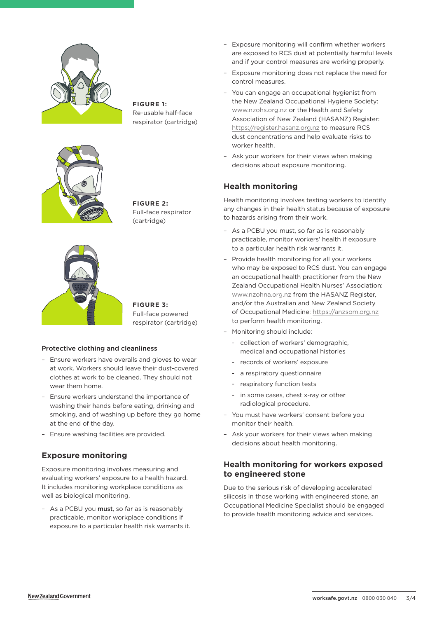

**FIGURE 1:** Re-usable half-face respirator (cartridge)



**FIGURE 2:** Full-face respirator (cartridge)



**FIGURE 3:** Full-face powered respirator (cartridge)

#### Protective clothing and cleanliness

- Ensure workers have overalls and gloves to wear at work. Workers should leave their dust-covered clothes at work to be cleaned. They should not wear them home.
- Ensure workers understand the importance of washing their hands before eating, drinking and smoking, and of washing up before they go home at the end of the day.
- Ensure washing facilities are provided.

## **Exposure monitoring**

Exposure monitoring involves measuring and evaluating workers' exposure to a health hazard. It includes monitoring workplace conditions as well as biological monitoring.

– As a PCBU you must, so far as is reasonably practicable, monitor workplace conditions if exposure to a particular health risk warrants it.

- Exposure monitoring will confirm whether workers are exposed to RCS dust at potentially harmful levels and if your control measures are working properly.
- Exposure monitoring does not replace the need for control measures.
- You can engage an occupational hygienist from the New Zealand Occupational Hygiene Society: [www.nzohs.org.nz](http://www.nzohs.org.nz) or the Health and Safety Association of New Zealand (HASANZ) Register: <https://register.hasanz.org.nz> to measure RCS dust concentrations and help evaluate risks to worker health.
- Ask your workers for their views when making decisions about exposure monitoring.

## **Health monitoring**

Health monitoring involves testing workers to identify any changes in their health status because of exposure to hazards arising from their work.

- As a PCBU you must, so far as is reasonably practicable, monitor workers' health if exposure to a particular health risk warrants it.
- Provide health monitoring for all your workers who may be exposed to RCS dust. You can engage an occupational health practitioner from the New Zealand Occupational Health Nurses' Association: [www.nzohna.org.nz](http://www.nzohna.org.nz) from the HASANZ Register, and/or the Australian and New Zealand Society of Occupational Medicine:<https://anzsom.org.nz> to perform health monitoring.
- Monitoring should include:
	- collection of workers' demographic, medical and occupational histories
	- records of workers' exposure
	- a respiratory questionnaire
	- respiratory function tests
	- in some cases, chest x-ray or other radiological procedure.
- You must have workers' consent before you monitor their health.
- Ask your workers for their views when making decisions about health monitoring.

## **Health monitoring for workers exposed to engineered stone**

Due to the serious risk of developing accelerated silicosis in those working with engineered stone, an Occupational Medicine Specialist should be engaged to provide health monitoring advice and services.